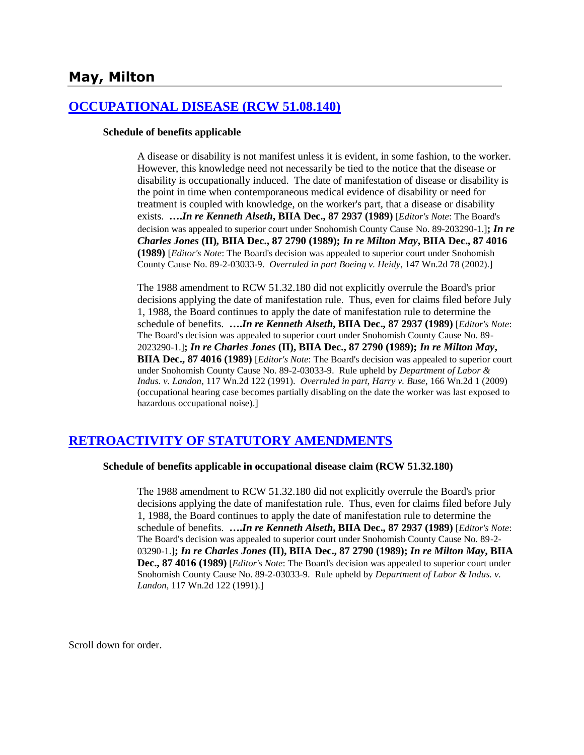# **May, Milton**

## **[OCCUPATIONAL DISEASE \(RCW 51.08.140\)](http://www.biia.wa.gov/SDSubjectIndex.html#OCCUPATIONAL_DISEASE)**

### **Schedule of benefits applicable**

A disease or disability is not manifest unless it is evident, in some fashion, to the worker. However, this knowledge need not necessarily be tied to the notice that the disease or disability is occupationally induced. The date of manifestation of disease or disability is the point in time when contemporaneous medical evidence of disability or need for treatment is coupled with knowledge, on the worker's part, that a disease or disability exists. **….***In re Kenneth Alseth***, BIIA Dec., 87 2937 (1989)** [*Editor's Note*: The Board's decision was appealed to superior court under Snohomish County Cause No. 89-203290-1.]**;** *In re Charles Jones* **(II)***,* **BIIA Dec., 87 2790 (1989);** *In re Milton May***, BIIA Dec., 87 4016 (1989)** [*Editor's Note*: The Board's decision was appealed to superior court under Snohomish County Cause No. 89-2-03033-9. *Overruled in part Boeing v. Heidy*, 147 Wn.2d 78 (2002).]

The 1988 amendment to RCW 51.32.180 did not explicitly overrule the Board's prior decisions applying the date of manifestation rule. Thus, even for claims filed before July 1, 1988, the Board continues to apply the date of manifestation rule to determine the schedule of benefits. **….***In re Kenneth Alseth***, BIIA Dec., 87 2937 (1989)** [*Editor's Note*: The Board's decision was appealed to superior court under Snohomish County Cause No. 89- 2023290-1.]**;** *In re Charles Jones* **(II), BIIA Dec., 87 2790 (1989);** *In re Milton May***, BIIA Dec., 87 4016 (1989)** [*Editor's Note*: The Board's decision was appealed to superior court under Snohomish County Cause No. 89-2-03033-9. Rule upheld by *Department of Labor & Indus. v. Landon*, 117 Wn.2d 122 (1991). *Overruled in part*, *Harry v. Buse*, 166 Wn.2d 1 (2009) (occupational hearing case becomes partially disabling on the date the worker was last exposed to hazardous occupational noise).]

## **[RETROACTIVITY OF STATUTORY AMENDMENTS](http://www.biia.wa.gov/SDSubjectIndex.html#RETROACTIVITY_OF_STATUTORY_AMENDMENTS)**

### **Schedule of benefits applicable in occupational disease claim (RCW 51.32.180)**

The 1988 amendment to RCW 51.32.180 did not explicitly overrule the Board's prior decisions applying the date of manifestation rule. Thus, even for claims filed before July 1, 1988, the Board continues to apply the date of manifestation rule to determine the schedule of benefits. **….***In re Kenneth Alseth***, BIIA Dec., 87 2937 (1989)** [*Editor's Note*: The Board's decision was appealed to superior court under Snohomish County Cause No. 89-2- 03290-1.]**;** *In re Charles Jones* **(II), BIIA Dec., 87 2790 (1989);** *In re Milton May***, BIIA Dec., 87 4016 (1989)** [*Editor's Note*: The Board's decision was appealed to superior court under Snohomish County Cause No. 89-2-03033-9. Rule upheld by *Department of Labor & Indus. v. Landon*, 117 Wn.2d 122 (1991).]

Scroll down for order.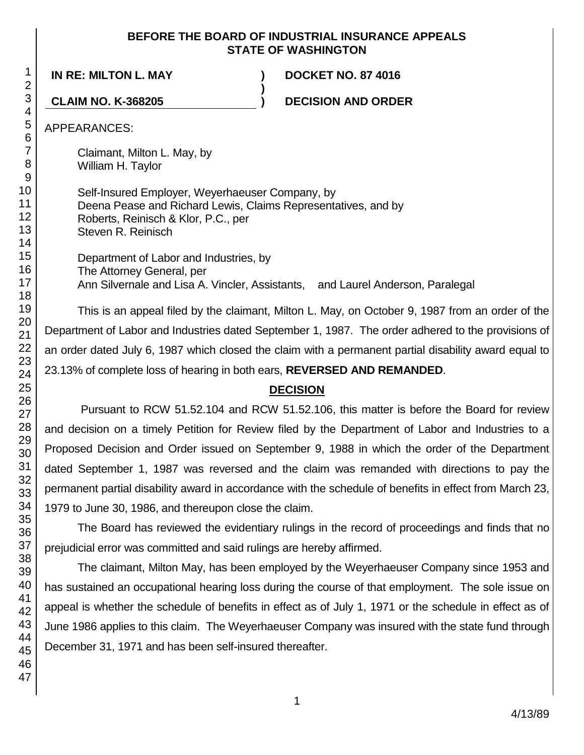## **BEFORE THE BOARD OF INDUSTRIAL INSURANCE APPEALS STATE OF WASHINGTON**

**)**

**IN RE: MILTON L. MAY ) DOCKET NO. 87 4016**

**CLAIM NO. K-368205 ) DECISION AND ORDER**

APPEARANCES:

Claimant, Milton L. May, by William H. Taylor

Self-Insured Employer, Weyerhaeuser Company, by Deena Pease and Richard Lewis, Claims Representatives, and by Roberts, Reinisch & Klor, P.C., per Steven R. Reinisch

Department of Labor and Industries, by The Attorney General, per Ann Silvernale and Lisa A. Vincler, Assistants, and Laurel Anderson, Paralegal

This is an appeal filed by the claimant, Milton L. May, on October 9, 1987 from an order of the Department of Labor and Industries dated September 1, 1987. The order adhered to the provisions of an order dated July 6, 1987 which closed the claim with a permanent partial disability award equal to 23.13% of complete loss of hearing in both ears, **REVERSED AND REMANDED**.

# **DECISION**

Pursuant to RCW 51.52.104 and RCW 51.52.106, this matter is before the Board for review and decision on a timely Petition for Review filed by the Department of Labor and Industries to a Proposed Decision and Order issued on September 9, 1988 in which the order of the Department dated September 1, 1987 was reversed and the claim was remanded with directions to pay the permanent partial disability award in accordance with the schedule of benefits in effect from March 23, 1979 to June 30, 1986, and thereupon close the claim.

The Board has reviewed the evidentiary rulings in the record of proceedings and finds that no prejudicial error was committed and said rulings are hereby affirmed.

The claimant, Milton May, has been employed by the Weyerhaeuser Company since 1953 and has sustained an occupational hearing loss during the course of that employment. The sole issue on appeal is whether the schedule of benefits in effect as of July 1, 1971 or the schedule in effect as of June 1986 applies to this claim. The Weyerhaeuser Company was insured with the state fund through December 31, 1971 and has been self-insured thereafter.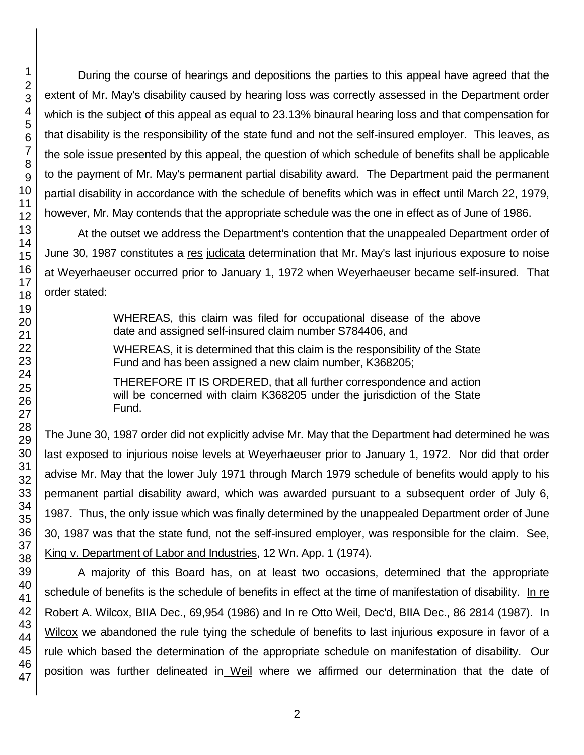During the course of hearings and depositions the parties to this appeal have agreed that the extent of Mr. May's disability caused by hearing loss was correctly assessed in the Department order which is the subject of this appeal as equal to 23.13% binaural hearing loss and that compensation for that disability is the responsibility of the state fund and not the self-insured employer. This leaves, as the sole issue presented by this appeal, the question of which schedule of benefits shall be applicable to the payment of Mr. May's permanent partial disability award. The Department paid the permanent partial disability in accordance with the schedule of benefits which was in effect until March 22, 1979, however, Mr. May contends that the appropriate schedule was the one in effect as of June of 1986.

At the outset we address the Department's contention that the unappealed Department order of June 30, 1987 constitutes a res judicata determination that Mr. May's last injurious exposure to noise at Weyerhaeuser occurred prior to January 1, 1972 when Weyerhaeuser became self-insured. That order stated:

> WHEREAS, this claim was filed for occupational disease of the above date and assigned self-insured claim number S784406, and

> WHEREAS, it is determined that this claim is the responsibility of the State Fund and has been assigned a new claim number, K368205;

> THEREFORE IT IS ORDERED, that all further correspondence and action will be concerned with claim K368205 under the jurisdiction of the State Fund.

The June 30, 1987 order did not explicitly advise Mr. May that the Department had determined he was last exposed to injurious noise levels at Weyerhaeuser prior to January 1, 1972. Nor did that order advise Mr. May that the lower July 1971 through March 1979 schedule of benefits would apply to his permanent partial disability award, which was awarded pursuant to a subsequent order of July 6, 1987. Thus, the only issue which was finally determined by the unappealed Department order of June 30, 1987 was that the state fund, not the self-insured employer, was responsible for the claim. See, King v. Department of Labor and Industries, 12 Wn. App. 1 (1974).

A majority of this Board has, on at least two occasions, determined that the appropriate schedule of benefits is the schedule of benefits in effect at the time of manifestation of disability. In re Robert A. Wilcox, BIIA Dec., 69,954 (1986) and In re Otto Weil, Dec'd, BIIA Dec., 86 2814 (1987). In Wilcox we abandoned the rule tying the schedule of benefits to last injurious exposure in favor of a rule which based the determination of the appropriate schedule on manifestation of disability. Our position was further delineated in Weil where we affirmed our determination that the date of

1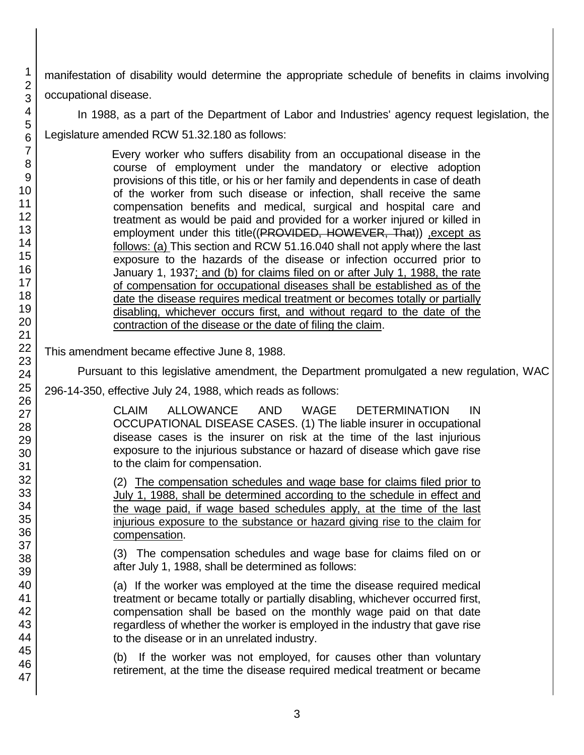manifestation of disability would determine the appropriate schedule of benefits in claims involving occupational disease.

In 1988, as a part of the Department of Labor and Industries' agency request legislation, the Legislature amended RCW 51.32.180 as follows:

> Every worker who suffers disability from an occupational disease in the course of employment under the mandatory or elective adoption provisions of this title, or his or her family and dependents in case of death of the worker from such disease or infection, shall receive the same compensation benefits and medical, surgical and hospital care and treatment as would be paid and provided for a worker injured or killed in employment under this title((PROVIDED, HOWEVER, That)) , except as follows: (a) This section and RCW 51.16.040 shall not apply where the last exposure to the hazards of the disease or infection occurred prior to January 1, 1937; and (b) for claims filed on or after July 1, 1988, the rate of compensation for occupational diseases shall be established as of the date the disease requires medical treatment or becomes totally or partially disabling, whichever occurs first, and without regard to the date of the contraction of the disease or the date of filing the claim.

This amendment became effective June 8, 1988.

Pursuant to this legislative amendment, the Department promulgated a new regulation, WAC

296-14-350, effective July 24, 1988, which reads as follows:

CLAIM ALLOWANCE AND WAGE DETERMINATION IN OCCUPATIONAL DISEASE CASES. (1) The liable insurer in occupational disease cases is the insurer on risk at the time of the last injurious exposure to the injurious substance or hazard of disease which gave rise to the claim for compensation.

(2) The compensation schedules and wage base for claims filed prior to July 1, 1988, shall be determined according to the schedule in effect and the wage paid, if wage based schedules apply, at the time of the last injurious exposure to the substance or hazard giving rise to the claim for compensation.

(3) The compensation schedules and wage base for claims filed on or after July 1, 1988, shall be determined as follows:

(a) If the worker was employed at the time the disease required medical treatment or became totally or partially disabling, whichever occurred first, compensation shall be based on the monthly wage paid on that date regardless of whether the worker is employed in the industry that gave rise to the disease or in an unrelated industry.

(b) If the worker was not employed, for causes other than voluntary retirement, at the time the disease required medical treatment or became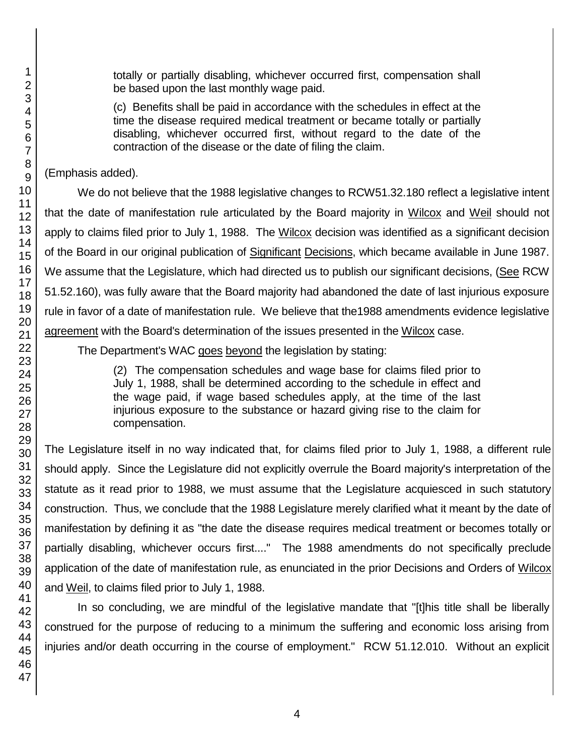totally or partially disabling, whichever occurred first, compensation shall be based upon the last monthly wage paid.

(c) Benefits shall be paid in accordance with the schedules in effect at the time the disease required medical treatment or became totally or partially disabling, whichever occurred first, without regard to the date of the contraction of the disease or the date of filing the claim.

(Emphasis added).

We do not believe that the 1988 legislative changes to RCW51.32.180 reflect a legislative intent that the date of manifestation rule articulated by the Board majority in Wilcox and Weil should not apply to claims filed prior to July 1, 1988. The Wilcox decision was identified as a significant decision of the Board in our original publication of Significant Decisions, which became available in June 1987. We assume that the Legislature, which had directed us to publish our significant decisions, (See RCW 51.52.160), was fully aware that the Board majority had abandoned the date of last injurious exposure rule in favor of a date of manifestation rule. We believe that the1988 amendments evidence legislative agreement with the Board's determination of the issues presented in the Wilcox case.

The Department's WAC goes beyond the legislation by stating:

(2) The compensation schedules and wage base for claims filed prior to July 1, 1988, shall be determined according to the schedule in effect and the wage paid, if wage based schedules apply, at the time of the last injurious exposure to the substance or hazard giving rise to the claim for compensation.

The Legislature itself in no way indicated that, for claims filed prior to July 1, 1988, a different rule should apply. Since the Legislature did not explicitly overrule the Board majority's interpretation of the statute as it read prior to 1988, we must assume that the Legislature acquiesced in such statutory construction. Thus, we conclude that the 1988 Legislature merely clarified what it meant by the date of manifestation by defining it as "the date the disease requires medical treatment or becomes totally or partially disabling, whichever occurs first...." The 1988 amendments do not specifically preclude application of the date of manifestation rule, as enunciated in the prior Decisions and Orders of Wilcox and Weil, to claims filed prior to July 1, 1988.

In so concluding, we are mindful of the legislative mandate that "[t]his title shall be liberally construed for the purpose of reducing to a minimum the suffering and economic loss arising from injuries and/or death occurring in the course of employment." RCW 51.12.010. Without an explicit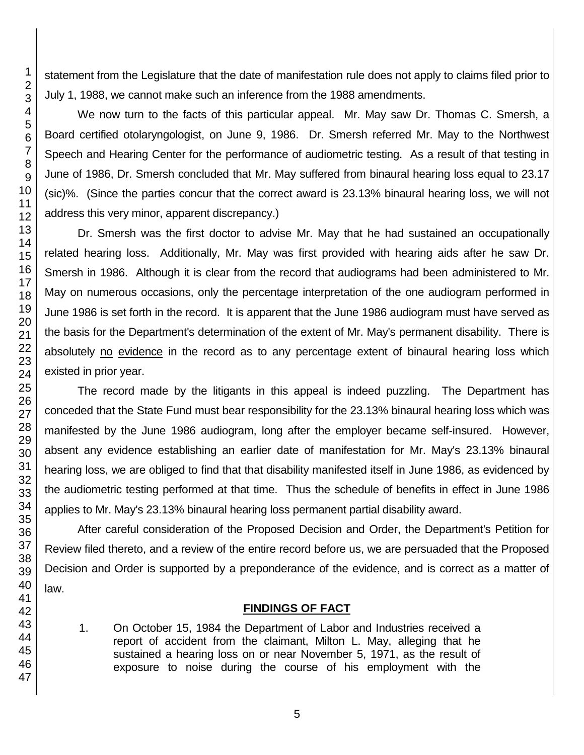statement from the Legislature that the date of manifestation rule does not apply to claims filed prior to July 1, 1988, we cannot make such an inference from the 1988 amendments.

We now turn to the facts of this particular appeal. Mr. May saw Dr. Thomas C. Smersh, a Board certified otolaryngologist, on June 9, 1986. Dr. Smersh referred Mr. May to the Northwest Speech and Hearing Center for the performance of audiometric testing. As a result of that testing in June of 1986, Dr. Smersh concluded that Mr. May suffered from binaural hearing loss equal to 23.17 (sic)%. (Since the parties concur that the correct award is 23.13% binaural hearing loss, we will not address this very minor, apparent discrepancy.)

Dr. Smersh was the first doctor to advise Mr. May that he had sustained an occupationally related hearing loss. Additionally, Mr. May was first provided with hearing aids after he saw Dr. Smersh in 1986. Although it is clear from the record that audiograms had been administered to Mr. May on numerous occasions, only the percentage interpretation of the one audiogram performed in June 1986 is set forth in the record. It is apparent that the June 1986 audiogram must have served as the basis for the Department's determination of the extent of Mr. May's permanent disability. There is absolutely no evidence in the record as to any percentage extent of binaural hearing loss which existed in prior year.

The record made by the litigants in this appeal is indeed puzzling. The Department has conceded that the State Fund must bear responsibility for the 23.13% binaural hearing loss which was manifested by the June 1986 audiogram, long after the employer became self-insured. However, absent any evidence establishing an earlier date of manifestation for Mr. May's 23.13% binaural hearing loss, we are obliged to find that that disability manifested itself in June 1986, as evidenced by the audiometric testing performed at that time. Thus the schedule of benefits in effect in June 1986 applies to Mr. May's 23.13% binaural hearing loss permanent partial disability award.

After careful consideration of the Proposed Decision and Order, the Department's Petition for Review filed thereto, and a review of the entire record before us, we are persuaded that the Proposed Decision and Order is supported by a preponderance of the evidence, and is correct as a matter of law.

# **FINDINGS OF FACT**

1. On October 15, 1984 the Department of Labor and Industries received a report of accident from the claimant, Milton L. May, alleging that he sustained a hearing loss on or near November 5, 1971, as the result of exposure to noise during the course of his employment with the

1

5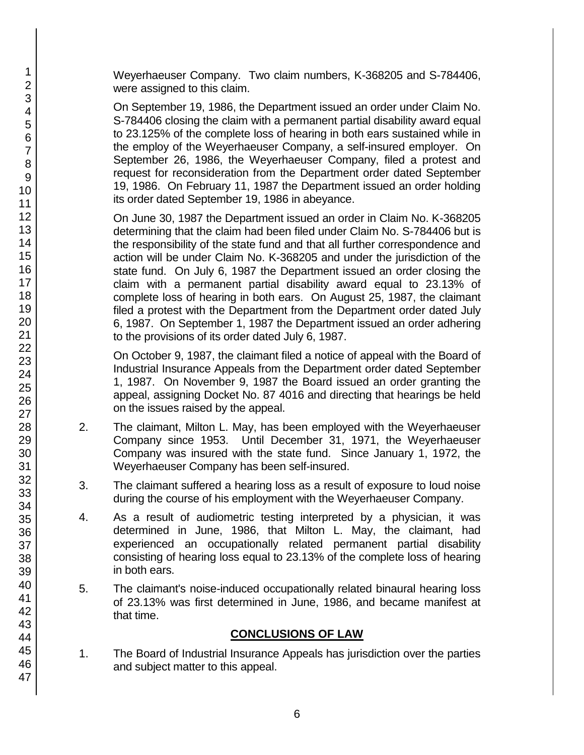Weyerhaeuser Company. Two claim numbers, K-368205 and S-784406, were assigned to this claim.

On September 19, 1986, the Department issued an order under Claim No. S-784406 closing the claim with a permanent partial disability award equal to 23.125% of the complete loss of hearing in both ears sustained while in the employ of the Weyerhaeuser Company, a self-insured employer. On September 26, 1986, the Weyerhaeuser Company, filed a protest and request for reconsideration from the Department order dated September 19, 1986. On February 11, 1987 the Department issued an order holding its order dated September 19, 1986 in abeyance.

On June 30, 1987 the Department issued an order in Claim No. K-368205 determining that the claim had been filed under Claim No. S-784406 but is the responsibility of the state fund and that all further correspondence and action will be under Claim No. K-368205 and under the jurisdiction of the state fund. On July 6, 1987 the Department issued an order closing the claim with a permanent partial disability award equal to 23.13% of complete loss of hearing in both ears. On August 25, 1987, the claimant filed a protest with the Department from the Department order dated July 6, 1987. On September 1, 1987 the Department issued an order adhering to the provisions of its order dated July 6, 1987.

On October 9, 1987, the claimant filed a notice of appeal with the Board of Industrial Insurance Appeals from the Department order dated September 1, 1987. On November 9, 1987 the Board issued an order granting the appeal, assigning Docket No. 87 4016 and directing that hearings be held on the issues raised by the appeal.

- 2. The claimant, Milton L. May, has been employed with the Weyerhaeuser Company since 1953. Until December 31, 1971, the Weyerhaeuser Company was insured with the state fund. Since January 1, 1972, the Weyerhaeuser Company has been self-insured.
- 3. The claimant suffered a hearing loss as a result of exposure to loud noise during the course of his employment with the Weyerhaeuser Company.
- 4. As a result of audiometric testing interpreted by a physician, it was determined in June, 1986, that Milton L. May, the claimant, had experienced an occupationally related permanent partial disability consisting of hearing loss equal to 23.13% of the complete loss of hearing in both ears.
- 5. The claimant's noise-induced occupationally related binaural hearing loss of 23.13% was first determined in June, 1986, and became manifest at that time.

# **CONCLUSIONS OF LAW**

1. The Board of Industrial Insurance Appeals has jurisdiction over the parties and subject matter to this appeal.

47

1